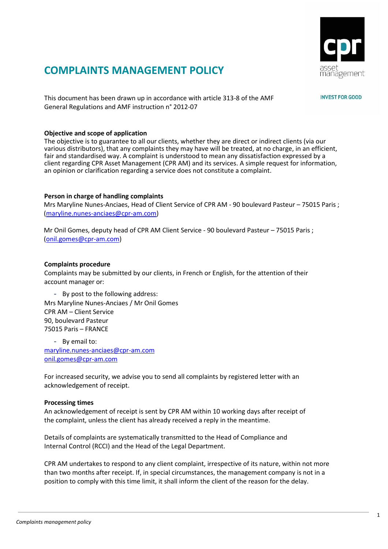

# **COMPLAINTS MANAGEMENT POLICY**

This document has been drawn up in accordance with article 313-8 of the AMF General Regulations and AMF instruction n° 2012-07

## **Objective and scope of application**

The objective is to guarantee to all our clients, whether they are direct or indirect clients (via our various distributors), that any complaints they may have will be treated, at no charge, in an efficient, fair and standardised way. A complaint is understood to mean any dissatisfaction expressed by a client regarding CPR Asset Management (CPR AM) and its services. A simple request for information, an opinion or clarification regarding a service does not constitute a complaint.

## **Person in charge of handling complaints**

Mrs Maryline Nunes-Anciaes, Head of Client Service of CPR AM - 90 boulevard Pasteur – 75015 Paris ; (maryline.nunes-anciaes@cpr-am.com)

Mr Onil Gomes, deputy head of CPR AM Client Service - 90 boulevard Pasteur – 75015 Paris ; (onil.gomes@cpr-am.com)

#### **Complaints procedure**

Complaints may be submitted by our clients, in French or English, for the attention of their account manager or:

- By post to the following address: Mrs Maryline Nunes-Anciaes / Mr Onil Gomes CPR AM – Client Service 90, boulevard Pasteur 75015 Paris – FRANCE

- By email to: maryline.nunes-anciaes@cpr-am.com onil.gomes@cpr-am.com

For increased security, we advise you to send all complaints by registered letter with an acknowledgement of receipt.

### **Processing times**

An acknowledgement of receipt is sent by CPR AM within 10 working days after receipt of the complaint, unless the client has already received a reply in the meantime.

Details of complaints are systematically transmitted to the Head of Compliance and Internal Control (RCCI) and the Head of the Legal Department.

CPR AM undertakes to respond to any client complaint, irrespective of its nature, within not more than two months after receipt. If, in special circumstances, the management company is not in a position to comply with this time limit, it shall inform the client of the reason for the delay.

## **INVEST FOR GOOD**